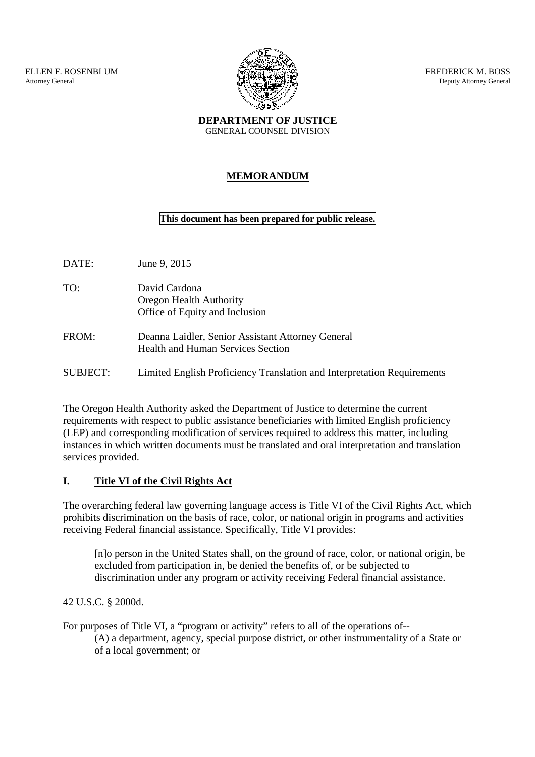ELLEN F. ROSENBLUM Attorney General



FREDERICK M. BOSS Deputy Attorney General

**DEPARTMENT OF JUSTICE** GENERAL COUNSEL DIVISION

## **MEMORANDUM**

## **This document has been prepared for public release.**

| DATE:    | June 9, 2015                                                                                  |
|----------|-----------------------------------------------------------------------------------------------|
| TO:      | David Cardona<br>Oregon Health Authority<br>Office of Equity and Inclusion                    |
| FROM:    | Deanna Laidler, Senior Assistant Attorney General<br><b>Health and Human Services Section</b> |
| SUBJECT: | Limited English Proficiency Translation and Interpretation Requirements                       |

The Oregon Health Authority asked the Department of Justice to determine the current requirements with respect to public assistance beneficiaries with limited English proficiency (LEP) and corresponding modification of services required to address this matter, including instances in which written documents must be translated and oral interpretation and translation services provided.

# **I. Title VI of the Civil Rights Act**

The overarching federal law governing language access is Title VI of the Civil Rights Act, which prohibits discrimination on the basis of race, color, or national origin in programs and activities receiving Federal financial assistance. Specifically, Title VI provides:

[n]o person in the United States shall, on the ground of race, color, or national origin, be excluded from participation in, be denied the benefits of, or be subjected to discrimination under any program or activity receiving Federal financial assistance.

42 U.S.C. § 2000d.

For purposes of Title VI, a "program or activity" refers to all of the operations of-- (A) a department, agency, special purpose district, or other instrumentality of a State or of a local government; or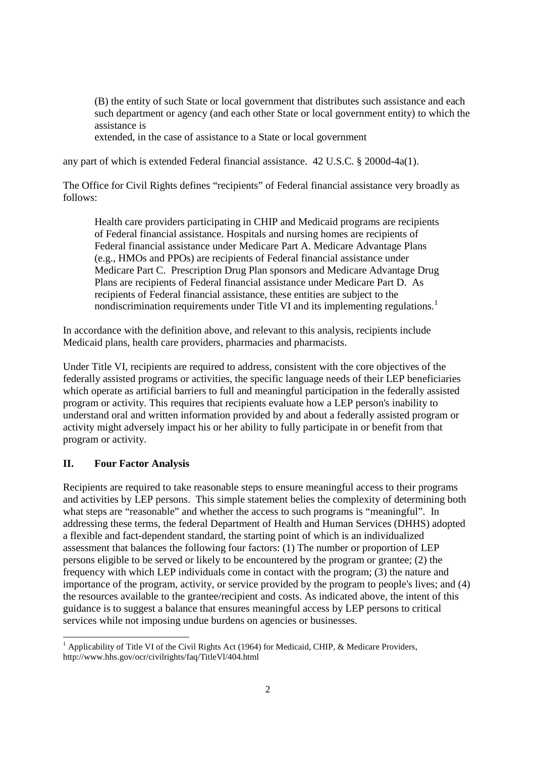(B) the entity of such State or local government that distributes such assistance and each such department or agency (and each other State or local government entity) to which the assistance is

extended, in the case of assistance to a State or local government

any part of which is extended Federal financial assistance. 42 U.S.C. § 2000d-4a(1).

The Office for Civil Rights defines "recipients" of Federal financial assistance very broadly as follows:

Health care providers participating in CHIP and Medicaid programs are recipients of Federal financial assistance. Hospitals and nursing homes are recipients of Federal financial assistance under Medicare Part A. Medicare Advantage Plans (e.g., HMOs and PPOs) are recipients of Federal financial assistance under Medicare Part C. Prescription Drug Plan sponsors and Medicare Advantage Drug Plans are recipients of Federal financial assistance under Medicare Part D. As recipients of Federal financial assistance, these entities are subject to the nondiscrimination requirements under Title VI and its implementing regulations.<sup>1</sup>

In accordance with the definition above, and relevant to this analysis, recipients include Medicaid plans, health care providers, pharmacies and pharmacists.

Under Title VI, recipients are required to address, consistent with the core objectives of the federally assisted programs or activities, the specific language needs of their LEP beneficiaries which operate as artificial barriers to full and meaningful participation in the federally assisted program or activity. This requires that recipients evaluate how a LEP person's inability to understand oral and written information provided by and about a federally assisted program or activity might adversely impact his or her ability to fully participate in or benefit from that program or activity.

## **II. Four Factor Analysis**

Recipients are required to take reasonable steps to ensure meaningful access to their programs and activities by LEP persons. This simple statement belies the complexity of determining both what steps are "reasonable" and whether the access to such programs is "meaningful". In addressing these terms, the federal Department of Health and Human Services (DHHS) adopted a flexible and fact-dependent standard, the starting point of which is an individualized assessment that balances the following four factors: (1) The number or proportion of LEP persons eligible to be served or likely to be encountered by the program or grantee; (2) the frequency with which LEP individuals come in contact with the program; (3) the nature and importance of the program, activity, or service provided by the program to people's lives; and (4) the resources available to the grantee/recipient and costs. As indicated above, the intent of this guidance is to suggest a balance that ensures meaningful access by LEP persons to critical services while not imposing undue burdens on agencies or businesses.

<sup>&</sup>lt;sup>1</sup> Applicability of Title VI of the Civil Rights Act (1964) for Medicaid, CHIP, & Medicare Providers, http://www.hhs.gov/ocr/civilrights/faq/TitleVl/404.html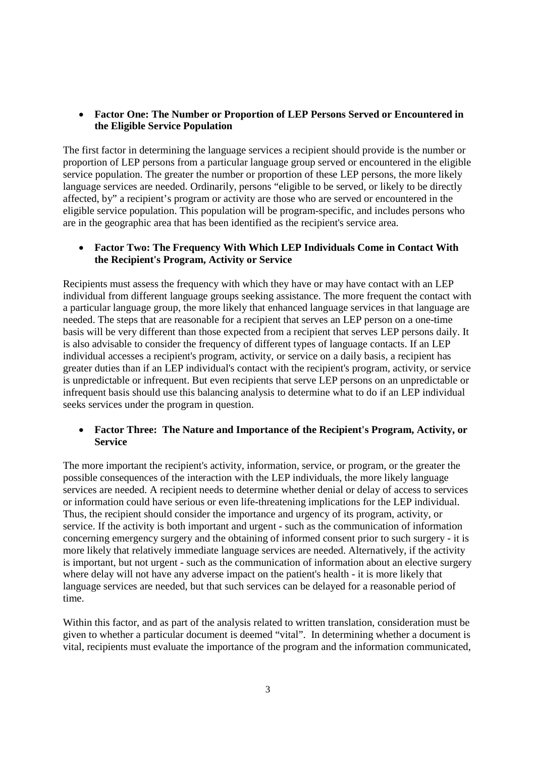#### **Factor One: The Number or Proportion of LEP Persons Served or Encountered in the Eligible Service Population**

The first factor in determining the language services a recipient should provide is the number or proportion of LEP persons from a particular language group served or encountered in the eligible service population. The greater the number or proportion of these LEP persons, the more likely language services are needed. Ordinarily, persons "eligible to be served, or likely to be directly affected, by" a recipient's program or activity are those who are served or encountered in the eligible service population. This population will be program-specific, and includes persons who are in the geographic area that has been identified as the recipient's service area.

## **Factor Two: The Frequency With Which LEP Individuals Come in Contact With the Recipient's Program, Activity or Service**

Recipients must assess the frequency with which they have or may have contact with an LEP individual from different language groups seeking assistance. The more frequent the contact with a particular language group, the more likely that enhanced language services in that language are needed. The steps that are reasonable for a recipient that serves an LEP person on a one-time basis will be very different than those expected from a recipient that serves LEP persons daily. It is also advisable to consider the frequency of different types of language contacts. If an LEP individual accesses a recipient's program, activity, or service on a daily basis, a recipient has greater duties than if an LEP individual's contact with the recipient's program, activity, or service is unpredictable or infrequent. But even recipients that serve LEP persons on an unpredictable or infrequent basis should use this balancing analysis to determine what to do if an LEP individual seeks services under the program in question.

#### **Factor Three: The Nature and Importance of the Recipient's Program, Activity, or Service**

The more important the recipient's activity, information, service, or program, or the greater the possible consequences of the interaction with the LEP individuals, the more likely language services are needed. A recipient needs to determine whether denial or delay of access to services or information could have serious or even life-threatening implications for the LEP individual. Thus, the recipient should consider the importance and urgency of its program, activity, or service. If the activity is both important and urgent - such as the communication of information concerning emergency surgery and the obtaining of informed consent prior to such surgery - it is more likely that relatively immediate language services are needed. Alternatively, if the activity is important, but not urgent - such as the communication of information about an elective surgery where delay will not have any adverse impact on the patient's health - it is more likely that language services are needed, but that such services can be delayed for a reasonable period of time.

Within this factor, and as part of the analysis related to written translation, consideration must be given to whether a particular document is deemed "vital". In determining whether a document is vital, recipients must evaluate the importance of the program and the information communicated,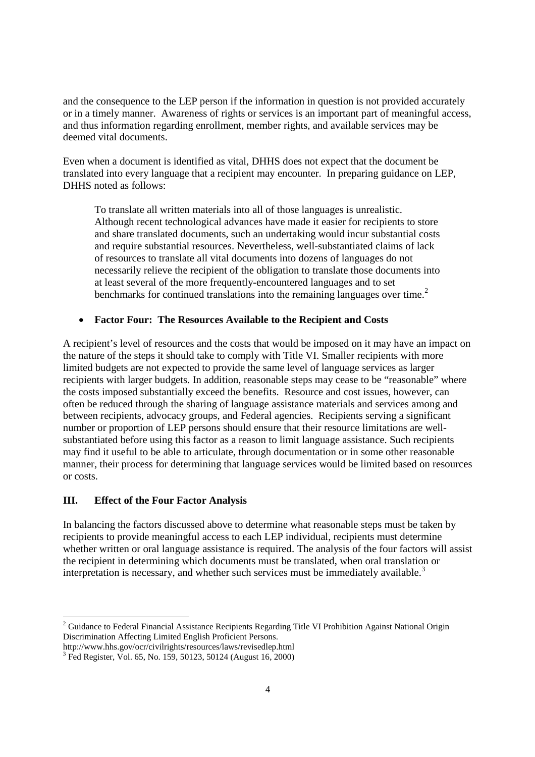and the consequence to the LEP person if the information in question is not provided accurately or in a timely manner. Awareness of rights or services is an important part of meaningful access, and thus information regarding enrollment, member rights, and available services may be deemed vital documents.

Even when a document is identified as vital, DHHS does not expect that the document be translated into every language that a recipient may encounter. In preparing guidance on LEP, DHHS noted as follows:

To translate all written materials into all of those languages is unrealistic. Although recent technological advances have made it easier for recipients to store and share translated documents, such an undertaking would incur substantial costs and require substantial resources. Nevertheless, well-substantiated claims of lack of resources to translate all vital documents into dozens of languages do not necessarily relieve the recipient of the obligation to translate those documents into at least several of the more frequently-encountered languages and to set benchmarks for continued translations into the remaining languages over time.<sup>2</sup>

#### **Factor Four: The Resources Available to the Recipient and Costs**

A recipient's level of resources and the costs that would be imposed on it may have an impact on the nature of the steps it should take to comply with Title VI. Smaller recipients with more limited budgets are not expected to provide the same level of language services as larger recipients with larger budgets. In addition, reasonable steps may cease to be "reasonable" where the costs imposed substantially exceed the benefits. Resource and cost issues, however, can often be reduced through the sharing of language assistance materials and services among and between recipients, advocacy groups, and Federal agencies. Recipients serving a significant number or proportion of LEP persons should ensure that their resource limitations are wellsubstantiated before using this factor as a reason to limit language assistance. Such recipients may find it useful to be able to articulate, through documentation or in some other reasonable manner, their process for determining that language services would be limited based on resources or costs.

#### **III. Effect of the Four Factor Analysis**

In balancing the factors discussed above to determine what reasonable steps must be taken by recipients to provide meaningful access to each LEP individual, recipients must determine whether written or oral language assistance is required. The analysis of the four factors will assist the recipient in determining which documents must be translated, when oral translation or interpretation is necessary, and whether such services must be immediately available.<sup>3</sup>

<sup>&</sup>lt;sup>2</sup> Guidance to Federal Financial Assistance Recipients Regarding Title VI Prohibition Against National Origin Discrimination Affecting Limited English Proficient Persons.

http://www.hhs.gov/ocr/civilrights/resources/laws/revisedlep.html

<sup>&</sup>lt;sup>3</sup> Fed Register, Vol. 65, No. 159, 50123, 50124 (August 16, 2000)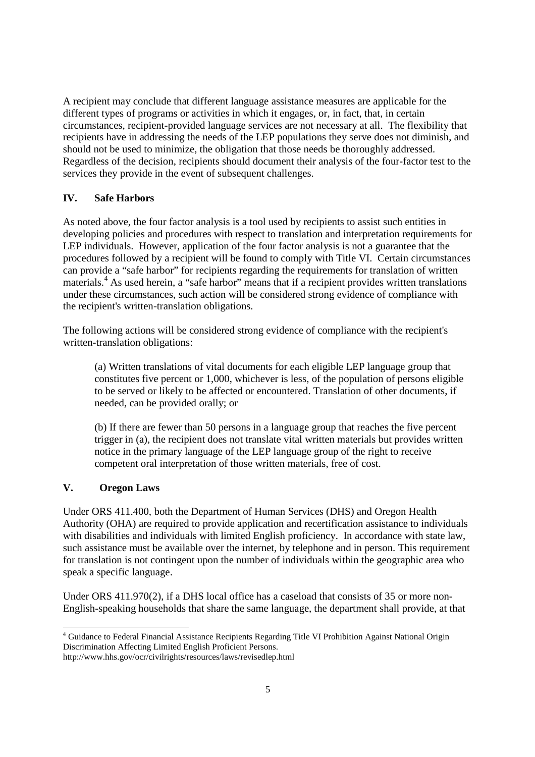A recipient may conclude that different language assistance measures are applicable for the different types of programs or activities in which it engages, or, in fact, that, in certain circumstances, recipient-provided language services are not necessary at all. The flexibility that recipients have in addressing the needs of the LEP populations they serve does not diminish, and should not be used to minimize, the obligation that those needs be thoroughly addressed. Regardless of the decision, recipients should document their analysis of the four-factor test to the services they provide in the event of subsequent challenges.

## **IV. Safe Harbors**

As noted above, the four factor analysis is a tool used by recipients to assist such entities in developing policies and procedures with respect to translation and interpretation requirements for LEP individuals. However, application of the four factor analysis is not a guarantee that the procedures followed by a recipient will be found to comply with Title VI. Certain circumstances can provide a "safe harbor" for recipients regarding the requirements for translation of written materials.<sup>4</sup> As used herein, a "safe harbor" means that if a recipient provides written translations under these circumstances, such action will be considered strong evidence of compliance with the recipient's written-translation obligations.

The following actions will be considered strong evidence of compliance with the recipient's written-translation obligations:

(a) Written translations of vital documents for each eligible LEP language group that constitutes five percent or 1,000, whichever is less, of the population of persons eligible to be served or likely to be affected or encountered. Translation of other documents, if needed, can be provided orally; or

(b) If there are fewer than 50 persons in a language group that reaches the five percent trigger in (a), the recipient does not translate vital written materials but provides written notice in the primary language of the LEP language group of the right to receive competent oral interpretation of those written materials, free of cost.

#### **V. Oregon Laws**

Under ORS 411.400, both the Department of Human Services (DHS) and Oregon Health Authority (OHA) are required to provide application and recertification assistance to individuals with disabilities and individuals with limited English proficiency. In accordance with state law, such assistance must be available over the internet, by telephone and in person. This requirement for translation is not contingent upon the number of individuals within the geographic area who speak a specific language.

Under ORS 411.970(2), if a DHS local office has a caseload that consists of 35 or more non-English-speaking households that share the same language, the department shall provide, at that

<sup>4</sup> Guidance to Federal Financial Assistance Recipients Regarding Title VI Prohibition Against National Origin Discrimination Affecting Limited English Proficient Persons.

http://www.hhs.gov/ocr/civilrights/resources/laws/revisedlep.html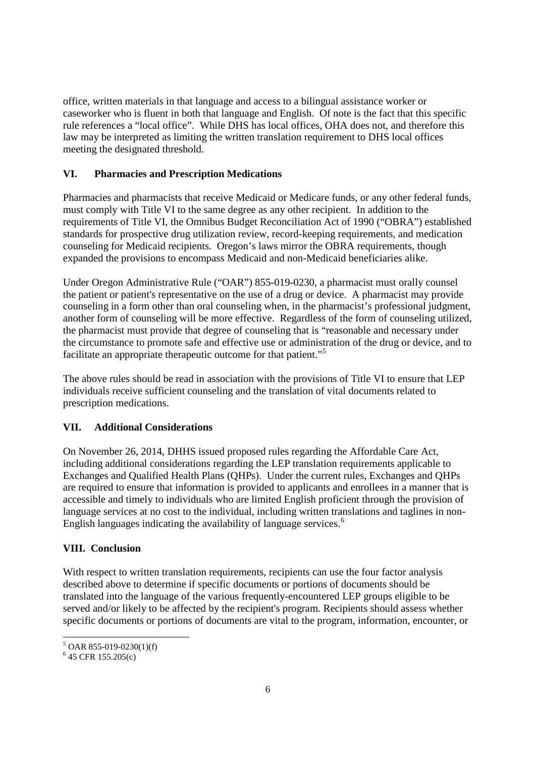office, written materials in that language and access to a bilingual assistance worker or caseworker who is fluent in both that language and English. Of note is the fact that this specific rule references a "local office". While DHS has local offices, OHA does not, and therefore this law may be interpreted as limiting the written translation requirement to DHS local offices meeting the designated threshold.

## **VI. Pharmacies and Prescription Medications**

Pharmacies and pharmacists that receive Medicaid or Medicare funds, or any other federal funds, must comply with Title VI to the same degree as any other recipient. In addition to the requirements of Title VI, the Omnibus Budget Reconciliation Act of 1990 ("OBRA") established standards for prospective drug utilization review, record-keeping requirements, and medication counseling for Medicaid recipients. Oregon's laws mirror the OBRA requirements, though expanded the provisions to encompass Medicaid and non-Medicaid beneficiaries alike.

Under Oregon Administrative Rule ("OAR") 855-019-0230, a pharmacist must orally counsel the patient or patient's representative on the use of a drug or device. A pharmacist may provide counseling in a form other than oral counseling when, in the pharmacist's professional judgment, another form of counseling will be more effective. Regardless of the form of counseling utilized, the pharmacist must provide that degree of counseling that is "reasonable and necessary under the circumstance to promote safe and effective use or administration of the drug or device, and to facilitate an appropriate therapeutic outcome for that patient."<sup>5</sup>

The above rules should be read in association with the provisions of Title VI to ensure that LEP individuals receive sufficient counseling and the translation of vital documents related to prescription medications.

#### **VII. Additional Considerations**

On November 26, 2014, DHHS issued proposed rules regarding the Affordable Care Act, including additional considerations regarding the LEP translation requirements applicable to Exchanges and Qualified Health Plans (QHPs). Under the current rules, Exchanges and QHPs are required to ensure that information is provided to applicants and enrollees in a manner that is accessible and timely to individuals who are limited English proficient through the provision of language services at no cost to the individual, including written translations and taglines in non-English languages indicating the availability of language services.<sup>6</sup>

#### **VIII. Conclusion**

With respect to written translation requirements, recipients can use the four factor analysis described above to determine if specific documents or portions of documents should be translated into the language of the various frequently-encountered LEP groups eligible to be served and/or likely to be affected by the recipient's program. Recipients should assess whether specific documents or portions of documents are vital to the program, information, encounter, or

 $5$  OAR 855-019-0230(1)(f)

<sup>6</sup> 45 CFR 155.205(c)